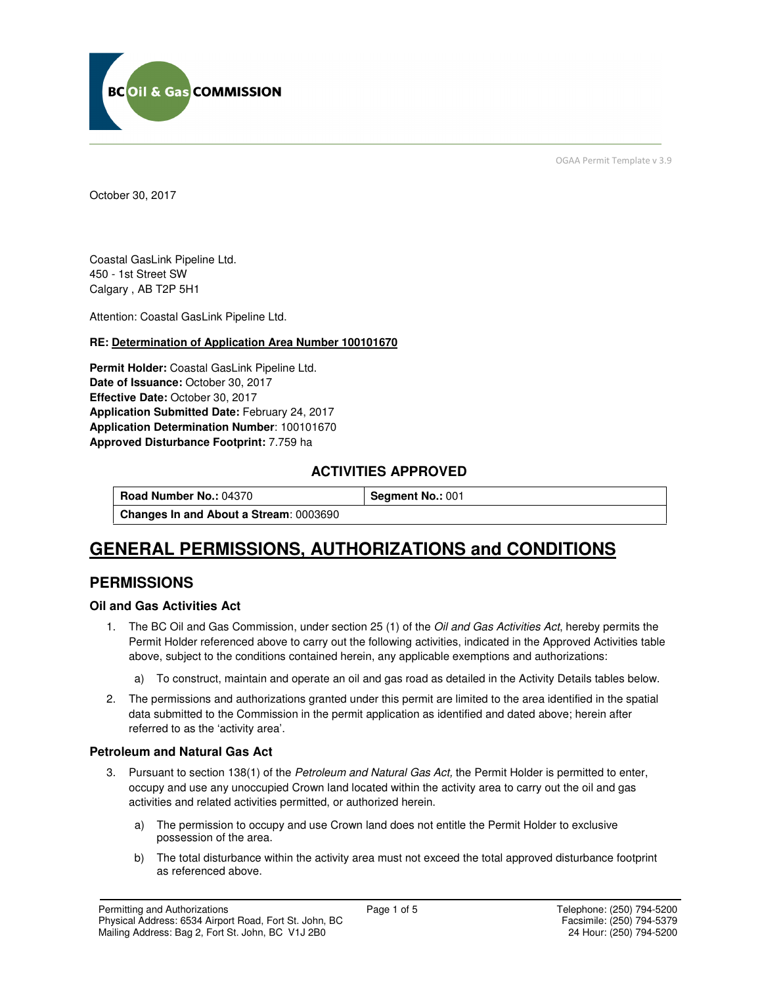

OGAA Permit Template v 3.9

October 30, 2017

Coastal GasLink Pipeline Ltd. 450 - 1st Street SW Calgary , AB T2P 5H1

Attention: Coastal GasLink Pipeline Ltd.

#### **RE: Determination of Application Area Number 100101670**

**Permit Holder:** Coastal GasLink Pipeline Ltd. Date of Issuance: October 30, 2017 **Effective Date:** October 30, 2017 **Application Submitted Date:** February 24, 2017 **Application Determination Number**: 100101670 **Approved Disturbance Footprint:** 7.759 ha

### **ACTIVITIES APPROVED**

**Road Number No.: 04370 <br><b>Segment No.: 001 Changes In and About a Stream**: 0003690

## **GENERAL PERMISSIONS, AUTHORIZATIONS and CONDITIONS**

### **PERMISSIONS**

#### **Oil and Gas Activities Act**

- 1. The BC Oil and Gas Commission, under section 25 (1) of the *Oil and Gas Activities Act*, hereby permits the Permit Holder referenced above to carry out the following activities, indicated in the Approved Activities table above, subject to the conditions contained herein, any applicable exemptions and authorizations:
	- a) To construct, maintain and operate an oil and gas road as detailed in the Activity Details tables below.
- 2. The permissions and authorizations granted under this permit are limited to the area identified in the spatial data submitted to the Commission in the permit application as identified and dated above; herein after referred to as the 'activity area'.

#### **Petroleum and Natural Gas Act**

- 3. Pursuant to section 138(1) of the Petroleum and Natural Gas Act, the Permit Holder is permitted to enter, occupy and use any unoccupied Crown land located within the activity area to carry out the oil and gas activities and related activities permitted, or authorized herein.
	- a) The permission to occupy and use Crown land does not entitle the Permit Holder to exclusive possession of the area.
	- b) The total disturbance within the activity area must not exceed the total approved disturbance footprint as referenced above.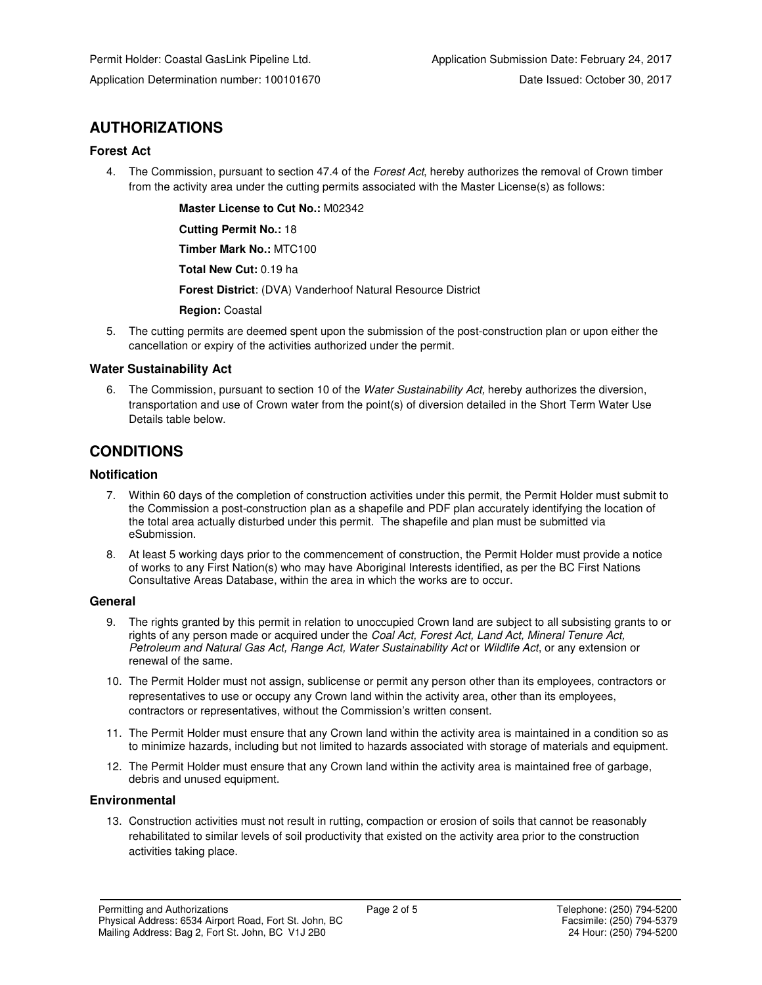## **AUTHORIZATIONS**

#### **Forest Act**

4. The Commission, pursuant to section 47.4 of the Forest Act, hereby authorizes the removal of Crown timber from the activity area under the cutting permits associated with the Master License(s) as follows:

> **Master License to Cut No.:** M02342  **Cutting Permit No.:** 18  **Timber Mark No.:** MTC100  **Total New Cut:** 0.19 ha  **Forest District**: (DVA) Vanderhoof Natural Resource District  **Region:** Coastal

5. The cutting permits are deemed spent upon the submission of the post-construction plan or upon either the cancellation or expiry of the activities authorized under the permit.

#### **Water Sustainability Act**

6. The Commission, pursuant to section 10 of the Water Sustainability Act, hereby authorizes the diversion, transportation and use of Crown water from the point(s) of diversion detailed in the Short Term Water Use Details table below.

## **CONDITIONS**

#### **Notification**

- 7. Within 60 days of the completion of construction activities under this permit, the Permit Holder must submit to the Commission a post-construction plan as a shapefile and PDF plan accurately identifying the location of the total area actually disturbed under this permit. The shapefile and plan must be submitted via eSubmission.
- 8. At least 5 working days prior to the commencement of construction, the Permit Holder must provide a notice of works to any First Nation(s) who may have Aboriginal Interests identified, as per the BC First Nations Consultative Areas Database, within the area in which the works are to occur.

#### **General**

- 9. The rights granted by this permit in relation to unoccupied Crown land are subject to all subsisting grants to or rights of any person made or acquired under the Coal Act, Forest Act, Land Act, Mineral Tenure Act, Petroleum and Natural Gas Act, Range Act, Water Sustainability Act or Wildlife Act, or any extension or renewal of the same.
- 10. The Permit Holder must not assign, sublicense or permit any person other than its employees, contractors or representatives to use or occupy any Crown land within the activity area, other than its employees, contractors or representatives, without the Commission's written consent.
- 11. The Permit Holder must ensure that any Crown land within the activity area is maintained in a condition so as to minimize hazards, including but not limited to hazards associated with storage of materials and equipment.
- 12. The Permit Holder must ensure that any Crown land within the activity area is maintained free of garbage, debris and unused equipment.

#### **Environmental**

13. Construction activities must not result in rutting, compaction or erosion of soils that cannot be reasonably rehabilitated to similar levels of soil productivity that existed on the activity area prior to the construction activities taking place.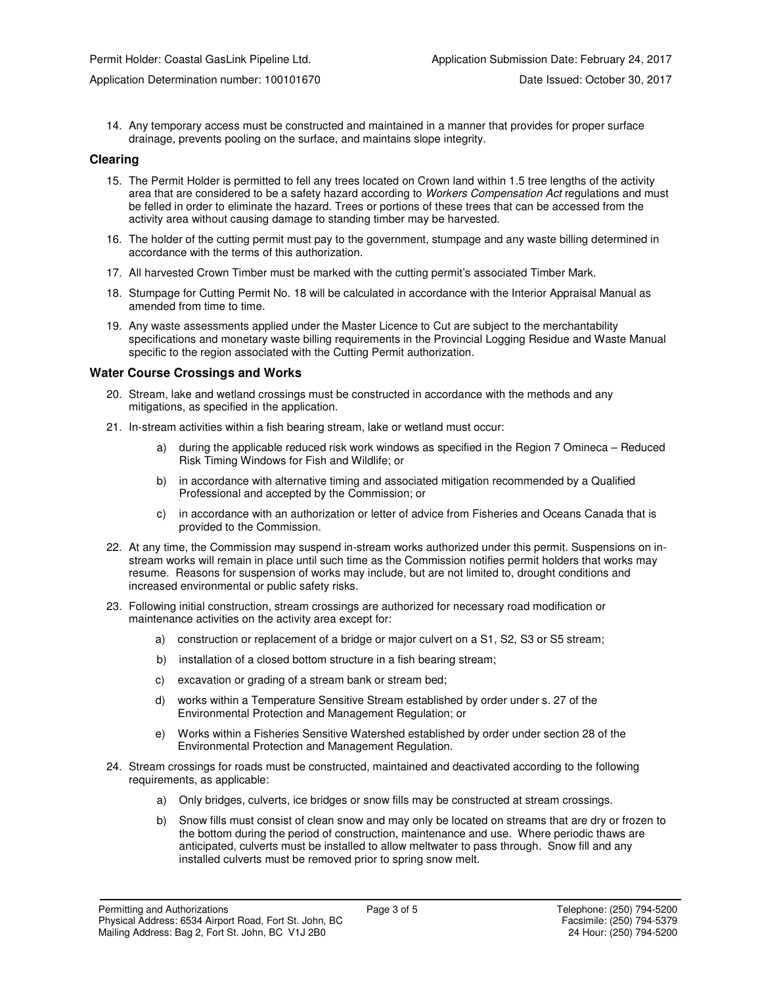14. Any temporary access must be constructed and maintained in a manner that provides for proper surface drainage, prevents pooling on the surface, and maintains slope integrity.

#### **Clearing**

- 15. The Permit Holder is permitted to fell any trees located on Crown land within 1.5 tree lengths of the activity area that are considered to be a safety hazard according to Workers Compensation Act regulations and must be felled in order to eliminate the hazard. Trees or portions of these trees that can be accessed from the activity area without causing damage to standing timber may be harvested.
- 16. The holder of the cutting permit must pay to the government, stumpage and any waste billing determined in accordance with the terms of this authorization.
- 17. All harvested Crown Timber must be marked with the cutting permit's associated Timber Mark.
- 18. Stumpage for Cutting Permit No. 18 will be calculated in accordance with the Interior Appraisal Manual as amended from time to time.
- 19. Any waste assessments applied under the Master Licence to Cut are subject to the merchantability specifications and monetary waste billing requirements in the Provincial Logging Residue and Waste Manual specific to the region associated with the Cutting Permit authorization.

#### **Water Course Crossings and Works**

- 20. Stream, lake and wetland crossings must be constructed in accordance with the methods and any mitigations, as specified in the application.
- 21. In-stream activities within a fish bearing stream, lake or wetland must occur:
	- a) during the applicable reduced risk work windows as specified in the Region 7 Omineca Reduced Risk Timing Windows for Fish and Wildlife; or
	- b) in accordance with alternative timing and associated mitigation recommended by a Qualified Professional and accepted by the Commission; or
	- c) in accordance with an authorization or letter of advice from Fisheries and Oceans Canada that is provided to the Commission.
- 22. At any time, the Commission may suspend in-stream works authorized under this permit. Suspensions on instream works will remain in place until such time as the Commission notifies permit holders that works may resume. Reasons for suspension of works may include, but are not limited to, drought conditions and increased environmental or public safety risks.
- 23. Following initial construction, stream crossings are authorized for necessary road modification or maintenance activities on the activity area except for:
	- a) construction or replacement of a bridge or major culvert on a S1, S2, S3 or S5 stream;
	- b) installation of a closed bottom structure in a fish bearing stream;
	- c) excavation or grading of a stream bank or stream bed;
	- d) works within a Temperature Sensitive Stream established by order under s. 27 of the Environmental Protection and Management Regulation; or
	- e) Works within a Fisheries Sensitive Watershed established by order under section 28 of the Environmental Protection and Management Regulation.
- 24. Stream crossings for roads must be constructed, maintained and deactivated according to the following requirements, as applicable:
	- a) Only bridges, culverts, ice bridges or snow fills may be constructed at stream crossings.
	- b) Snow fills must consist of clean snow and may only be located on streams that are dry or frozen to the bottom during the period of construction, maintenance and use. Where periodic thaws are anticipated, culverts must be installed to allow meltwater to pass through. Snow fill and any installed culverts must be removed prior to spring snow melt.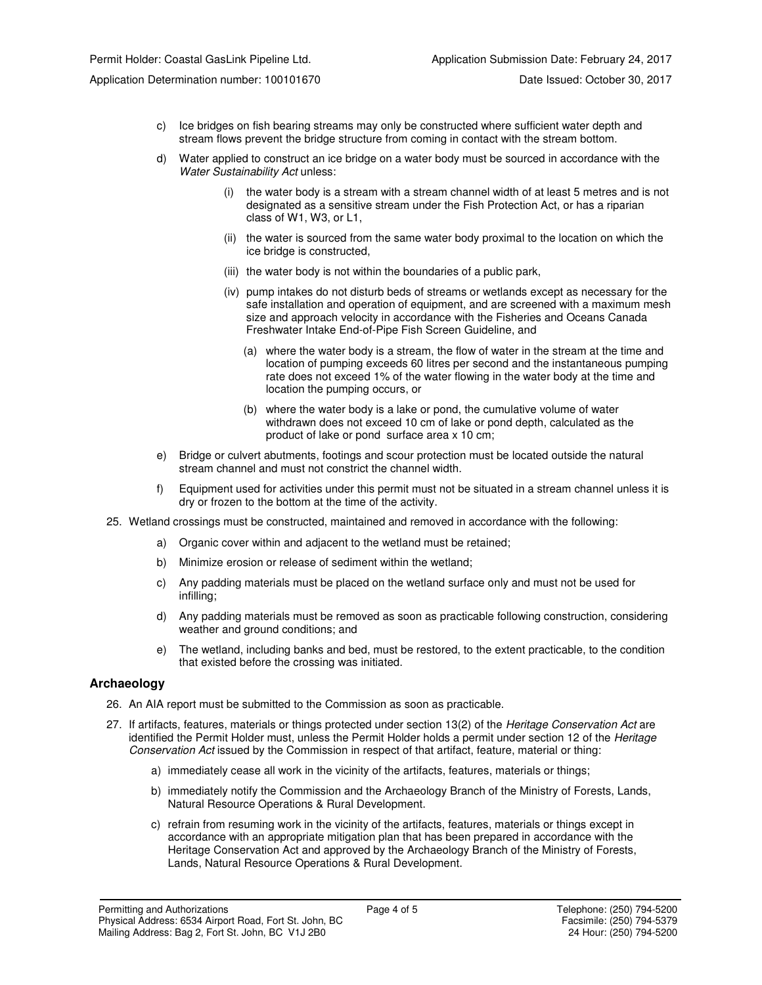- c) Ice bridges on fish bearing streams may only be constructed where sufficient water depth and stream flows prevent the bridge structure from coming in contact with the stream bottom.
- d) Water applied to construct an ice bridge on a water body must be sourced in accordance with the Water Sustainability Act unless:
	- (i) the water body is a stream with a stream channel width of at least 5 metres and is not designated as a sensitive stream under the Fish Protection Act, or has a riparian class of W1, W3, or L1,
	- (ii) the water is sourced from the same water body proximal to the location on which the ice bridge is constructed,
	- (iii) the water body is not within the boundaries of a public park,
	- (iv) pump intakes do not disturb beds of streams or wetlands except as necessary for the safe installation and operation of equipment, and are screened with a maximum mesh size and approach velocity in accordance with the Fisheries and Oceans Canada Freshwater Intake End-of-Pipe Fish Screen Guideline, and
		- (a) where the water body is a stream, the flow of water in the stream at the time and location of pumping exceeds 60 litres per second and the instantaneous pumping rate does not exceed 1% of the water flowing in the water body at the time and location the pumping occurs, or
		- (b) where the water body is a lake or pond, the cumulative volume of water withdrawn does not exceed 10 cm of lake or pond depth, calculated as the product of lake or pond surface area x 10 cm;
- e) Bridge or culvert abutments, footings and scour protection must be located outside the natural stream channel and must not constrict the channel width.
- f) Equipment used for activities under this permit must not be situated in a stream channel unless it is dry or frozen to the bottom at the time of the activity.
- 25. Wetland crossings must be constructed, maintained and removed in accordance with the following:
	- a) Organic cover within and adjacent to the wetland must be retained;
	- b) Minimize erosion or release of sediment within the wetland;
	- c) Any padding materials must be placed on the wetland surface only and must not be used for infilling;
	- d) Any padding materials must be removed as soon as practicable following construction, considering weather and ground conditions; and
	- e) The wetland, including banks and bed, must be restored, to the extent practicable, to the condition that existed before the crossing was initiated.

#### **Archaeology**

- 26. An AIA report must be submitted to the Commission as soon as practicable.
- 27. If artifacts, features, materials or things protected under section 13(2) of the Heritage Conservation Act are identified the Permit Holder must, unless the Permit Holder holds a permit under section 12 of the Heritage Conservation Act issued by the Commission in respect of that artifact, feature, material or thing:
	- a) immediately cease all work in the vicinity of the artifacts, features, materials or things;
	- b) immediately notify the Commission and the Archaeology Branch of the Ministry of Forests, Lands, Natural Resource Operations & Rural Development.
	- c) refrain from resuming work in the vicinity of the artifacts, features, materials or things except in accordance with an appropriate mitigation plan that has been prepared in accordance with the Heritage Conservation Act and approved by the Archaeology Branch of the Ministry of Forests, Lands, Natural Resource Operations & Rural Development.